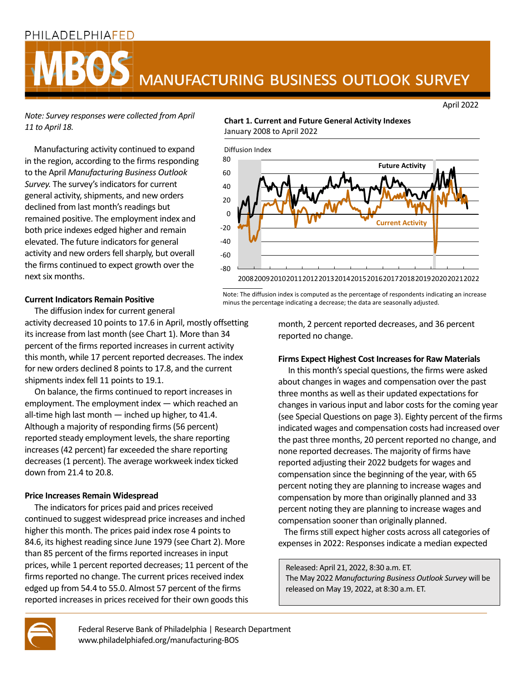# PHILADELPHIAFED



April 2022

*Note: Survey responses were collected from April 11 to April 18.*

Manufacturing activity continued to expand in the region, according to the firms responding to the April *Manufacturing Business Outlook Survey.* The survey's indicators for current general activity, shipments, and new orders declined from last month's readings but remained positive. The employment index and both price indexes edged higher and remain elevated. The future indicators for general activity and new orders fell sharply, but overall the firms continued to expect growth over the next six months.

# **Chart 1. Current and Future General Activity Indexes** January 2008 to April 2022



Note: The diffusion index is computed as the percentage of respondents indicating an increase minus the percentage indicating a decrease; the data are seasonally adjusted.

# **Current Indicators Remain Positive**

The diffusion index for current general

activity decreased 10 points to 17.6 in April, mostly offsetting its increase from last month (see Chart 1). More than 34 percent of the firms reported increases in current activity this month, while 17 percent reported decreases. The index for new orders declined 8 points to 17.8, and the current shipments index fell 11 points to 19.1.

 On balance, the firms continued to report increases in employment. The employment index — which reached an all-time high last month — inched up higher, to 41.4. Although a majority of responding firms (56 percent) reported steady employment levels, the share reporting increases (42 percent) far exceeded the share reporting decreases (1 percent). The average workweek index ticked down from 21.4 to 20.8.

# **Price Increases Remain Widespread**

 The indicators for prices paid and prices received continued to suggest widespread price increases and inched higher this month. The prices paid index rose 4 points to 84.6, its highest reading since June 1979 (see Chart 2). More than 85 percent of the firms reported increases in input prices, while 1 percent reported decreases; 11 percent of the firms reported no change. The current prices received index edged up from 54.4 to 55.0. Almost 57 percent of the firms reported increases in prices received for their own goods this month, 2 percent reported decreases, and 36 percent reported no change.

# **Firms Expect Highest Cost Increases for Raw Materials**

 In this month's special questions, the firms were asked about changes in wages and compensation over the past three months as well as their updated expectations for changes in various input and labor costs for the coming year (see Special Questions on page 3). Eighty percent of the firms indicated wages and compensation costs had increased over the past three months, 20 percent reported no change, and none reported decreases. The majority of firms have reported adjusting their 2022 budgets for wages and compensation since the beginning of the year, with 65 percent noting they are planning to increase wages and compensation by more than originally planned and 33 percent noting they are planning to increase wages and compensation sooner than originally planned.

 The firms still expect higher costs across all categories of expenses in 2022: Responses indicate a median expected

Released: April 21, 2022, 8:30 a.m. ET. The May 2022 *Manufacturing Business Outlook Survey* will be released on May 19, 2022, at 8:30 a.m. ET.



Federal Reserve Bank of Philadelphia | Research Department www.philadelphiafed.org/manufacturing-BOS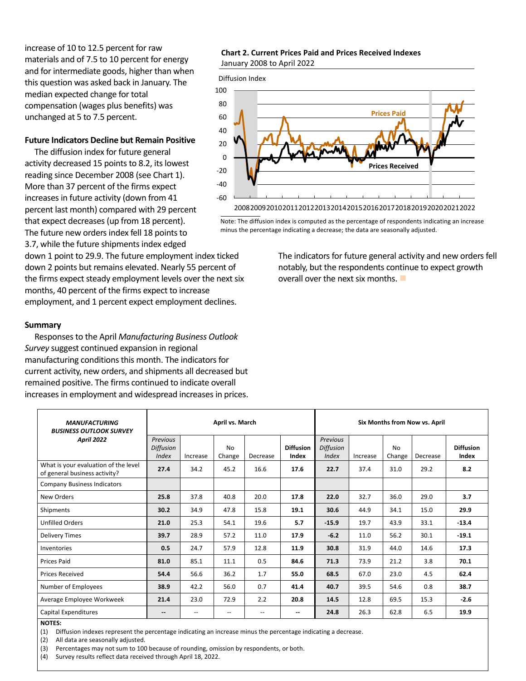increase of 10 to 12.5 percent for raw materials and of 7.5 to 10 percent for energy and for intermediate goods, higher than when this question was asked back in January. The median expected change for total compensation (wages plus benefits) was unchanged at 5 to 7.5 percent.

#### **Future Indicators Decline but Remain Positive**

 The diffusion index for future general activity decreased 15 points to 8.2, its lowest reading since December 2008 (see Chart 1). More than 37 percent of the firms expect increases in future activity (down from 41 percent last month) compared with 29 percent that expect decreases (up from 18 percent). The future new orders index fell 18 points to 3.7, while the future shipments index edged

down 1 point to 29.9. The future employment index ticked down 2 points but remains elevated. Nearly 55 percent of the firms expect steady employment levels over the next six months, 40 percent of the firms expect to increase employment, and 1 percent expect employment declines.

#### **Summary**

 Responses to the April *Manufacturing Business Outlook Survey* suggest continued expansion in regional manufacturing conditions this month. The indicators for current activity, new orders, and shipments all decreased but remained positive. The firms continued to indicate overall increases in employment and widespread increases in prices.

#### **Chart 2. Current Prices Paid and Prices Received Indexes** January 2008 to April 2022

Diffusion Index



Note: The diffusion index is computed as the percentage of respondents indicating an increase minus the percentage indicating a decrease; the data are seasonally adjusted.

> The indicators for future general activity and new orders fell notably, but the respondents continue to expect growth overall over the next six months.

| <b>MANUFACTURING</b><br><b>BUSINESS OUTLOOK SURVEY</b>                | April vs. March                              |                          |                                       |                          | Six Months from Now vs. April |                                              |          |                     |          |                           |
|-----------------------------------------------------------------------|----------------------------------------------|--------------------------|---------------------------------------|--------------------------|-------------------------------|----------------------------------------------|----------|---------------------|----------|---------------------------|
| <b>April 2022</b>                                                     | Previous<br><b>Diffusion</b><br><b>Index</b> | Increase                 | <b>No</b><br>Change                   | Decrease                 | <b>Diffusion</b><br>Index     | Previous<br><b>Diffusion</b><br><b>Index</b> | Increase | <b>No</b><br>Change | Decrease | <b>Diffusion</b><br>Index |
| What is your evaluation of the level<br>of general business activity? | 27.4                                         | 34.2                     | 45.2                                  | 16.6                     | 17.6                          | 22.7                                         | 37.4     | 31.0                | 29.2     | 8.2                       |
| <b>Company Business Indicators</b>                                    |                                              |                          |                                       |                          |                               |                                              |          |                     |          |                           |
| New Orders                                                            | 25.8                                         | 37.8                     | 40.8                                  | 20.0                     | 17.8                          | 22.0                                         | 32.7     | 36.0                | 29.0     | 3.7                       |
| Shipments                                                             | 30.2                                         | 34.9                     | 47.8                                  | 15.8                     | 19.1                          | 30.6                                         | 44.9     | 34.1                | 15.0     | 29.9                      |
| <b>Unfilled Orders</b>                                                | 21.0                                         | 25.3                     | 54.1                                  | 19.6                     | 5.7                           | $-15.9$                                      | 19.7     | 43.9                | 33.1     | $-13.4$                   |
| <b>Delivery Times</b>                                                 | 39.7                                         | 28.9                     | 57.2                                  | 11.0                     | 17.9                          | $-6.2$                                       | 11.0     | 56.2                | 30.1     | $-19.1$                   |
| Inventories                                                           | 0.5                                          | 24.7                     | 57.9                                  | 12.8                     | 11.9                          | 30.8                                         | 31.9     | 44.0                | 14.6     | 17.3                      |
| <b>Prices Paid</b>                                                    | 81.0                                         | 85.1                     | 11.1                                  | 0.5                      | 84.6                          | 71.3                                         | 73.9     | 21.2                | 3.8      | 70.1                      |
| <b>Prices Received</b>                                                | 54.4                                         | 56.6                     | 36.2                                  | 1.7                      | 55.0                          | 68.5                                         | 67.0     | 23.0                | 4.5      | 62.4                      |
| Number of Employees                                                   | 38.9                                         | 42.2                     | 56.0                                  | 0.7                      | 41.4                          | 40.7                                         | 39.5     | 54.6                | 0.8      | 38.7                      |
| Average Employee Workweek                                             | 21.4                                         | 23.0                     | 72.9                                  | 2.2                      | 20.8                          | 14.5                                         | 12.8     | 69.5                | 15.3     | $-2.6$                    |
| Capital Expenditures                                                  | $\overline{\phantom{a}}$                     | $\overline{\phantom{a}}$ | $\hspace{0.05cm}$ – $\hspace{0.05cm}$ | $\overline{\phantom{a}}$ | --                            | 24.8                                         | 26.3     | 62.8                | 6.5      | 19.9                      |

**NOTES:** 

(1) Diffusion indexes represent the percentage indicating an increase minus the percentage indicating a decrease.

(2) All data are seasonally adjusted.

(3) Percentages may not sum to 100 because of rounding, omission by respondents, or both.

(4) Survey results reflect data received through April 18, 2022.